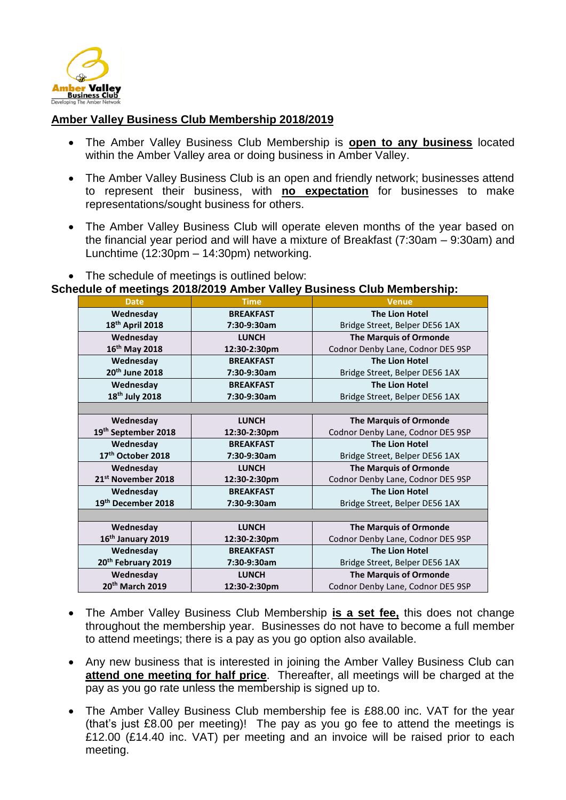

## **Amber Valley Business Club Membership 2018/2019**

- The Amber Valley Business Club Membership is **open to any business** located within the Amber Valley area or doing business in Amber Valley.
- The Amber Valley Business Club is an open and friendly network; businesses attend to represent their business, with **no expectation** for businesses to make representations/sought business for others.
- The Amber Valley Business Club will operate eleven months of the year based on the financial year period and will have a mixture of Breakfast (7:30am – 9:30am) and Lunchtime (12:30pm – 14:30pm) networking.
- The schedule of meetings is outlined below:

## **Schedule of meetings 2018/2019 Amber Valley Business Club Membership:**

| <b>Date</b>                    | <b>Time</b>      | <b>Venue</b>                      |
|--------------------------------|------------------|-----------------------------------|
| Wednesday                      | <b>BREAKFAST</b> | <b>The Lion Hotel</b>             |
| 18 <sup>th</sup> April 2018    | 7:30-9:30am      | Bridge Street, Belper DE56 1AX    |
| Wednesday                      | <b>LUNCH</b>     | <b>The Marquis of Ormonde</b>     |
| 16 <sup>th</sup> May 2018      | 12:30-2:30pm     | Codnor Denby Lane, Codnor DE5 9SP |
| Wednesday                      | <b>BREAKFAST</b> | <b>The Lion Hotel</b>             |
| 20 <sup>th</sup> June 2018     |                  |                                   |
|                                | 7:30-9:30am      | Bridge Street, Belper DE56 1AX    |
| Wednesday                      | <b>BREAKFAST</b> | <b>The Lion Hotel</b>             |
| 18 <sup>th</sup> July 2018     | 7:30-9:30am      | Bridge Street, Belper DE56 1AX    |
|                                |                  |                                   |
| Wednesday                      | <b>LUNCH</b>     | <b>The Marquis of Ormonde</b>     |
| 19th September 2018            | 12:30-2:30pm     | Codnor Denby Lane, Codnor DE5 9SP |
| Wednesday                      | <b>BREAKFAST</b> | <b>The Lion Hotel</b>             |
| 17th October 2018              | 7:30-9:30am      | Bridge Street, Belper DE56 1AX    |
| Wednesday                      | <b>LUNCH</b>     | <b>The Marquis of Ormonde</b>     |
| 21 <sup>st</sup> November 2018 | 12:30-2:30pm     | Codnor Denby Lane, Codnor DE5 9SP |
| Wednesday                      | <b>BREAKFAST</b> | <b>The Lion Hotel</b>             |
| 19th December 2018             | 7:30-9:30am      | Bridge Street, Belper DE56 1AX    |
|                                |                  |                                   |
| Wednesday                      | <b>LUNCH</b>     | <b>The Marquis of Ormonde</b>     |
| 16 <sup>th</sup> January 2019  | 12:30-2:30pm     | Codnor Denby Lane, Codnor DE5 9SP |
| Wednesday                      | <b>BREAKFAST</b> | <b>The Lion Hotel</b>             |
| 20th February 2019             | 7:30-9:30am      | Bridge Street, Belper DE56 1AX    |
| Wednesday                      | <b>LUNCH</b>     | <b>The Marquis of Ormonde</b>     |
| 20 <sup>th</sup> March 2019    | 12:30-2:30pm     | Codnor Denby Lane, Codnor DE5 9SP |

- The Amber Valley Business Club Membership **is a set fee,** this does not change throughout the membership year. Businesses do not have to become a full member to attend meetings; there is a pay as you go option also available.
- Any new business that is interested in joining the Amber Valley Business Club can **attend one meeting for half price**. Thereafter, all meetings will be charged at the pay as you go rate unless the membership is signed up to.
- The Amber Valley Business Club membership fee is £88.00 inc. VAT for the year (that's just £8.00 per meeting)! The pay as you go fee to attend the meetings is £12.00 (£14.40 inc. VAT) per meeting and an invoice will be raised prior to each meeting.